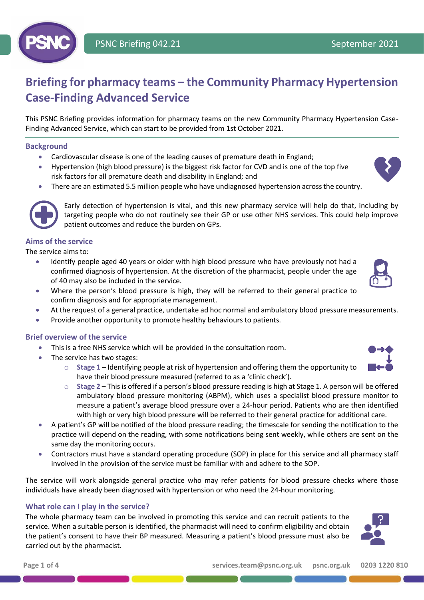

# **Briefing for pharmacy teams – the Community Pharmacy Hypertension Case-Finding Advanced Service**

This PSNC Briefing provides information for pharmacy teams on the new Community Pharmacy Hypertension Case-Finding Advanced Service, which can start to be provided from 1st October 2021.

#### **Background**

- Cardiovascular disease is one of the leading causes of premature death in England;
- Hypertension (high blood pressure) is the biggest risk factor for CVD and is one of the top five risk factors for all premature death and disability in England; and





Early detection of hypertension is vital, and this new pharmacy service will help do that, including by targeting people who do not routinely see their GP or use other NHS services. This could help improve patient outcomes and reduce the burden on GPs.

### **Aims of the service**

The service aims to:

- Identify people aged 40 years or older with high blood pressure who have previously not had a confirmed diagnosis of hypertension. At the discretion of the pharmacist, people under the age of 40 may also be included in the service.
- Where the person's blood pressure is high, they will be referred to their general practice to confirm diagnosis and for appropriate management.
- At the request of a general practice, undertake ad hoc normal and ambulatory blood pressure measurements.
- Provide another opportunity to promote healthy behaviours to patients.

#### **Brief overview of the service**

- This is a free NHS service which will be provided in the consultation room.
- The service has two stages:
	- o **Stage 1** Identifying people at risk of hypertension and offering them the opportunity to have their blood pressure measured (referred to as a 'clinic check').
	- o **Stage 2** This is offered if a person's blood pressure reading is high at Stage 1. A person will be offered ambulatory blood pressure monitoring (ABPM), which uses a specialist blood pressure monitor to measure a patient's average blood pressure over a 24-hour period. Patients who are then identified with high or very high blood pressure will be referred to their general practice for additional care.
- A patient's GP will be notified of the blood pressure reading; the timescale for sending the notification to the practice will depend on the reading, with some notifications being sent weekly, while others are sent on the same day the monitoring occurs.
- Contractors must have a standard operating procedure (SOP) in place for this service and all pharmacy staff involved in the provision of the service must be familiar with and adhere to the SOP.

The service will work alongside general practice who may refer patients for blood pressure checks where those individuals have already been diagnosed with hypertension or who need the 24-hour monitoring.

#### **What role can I play in the service?**

The whole pharmacy team can be involved in promoting this service and can recruit patients to the service. When a suitable person is identified, the pharmacist will need to confirm eligibility and obtain the patient's consent to have their BP measured. Measuring a patient's blood pressure must also be carried out by the pharmacist.





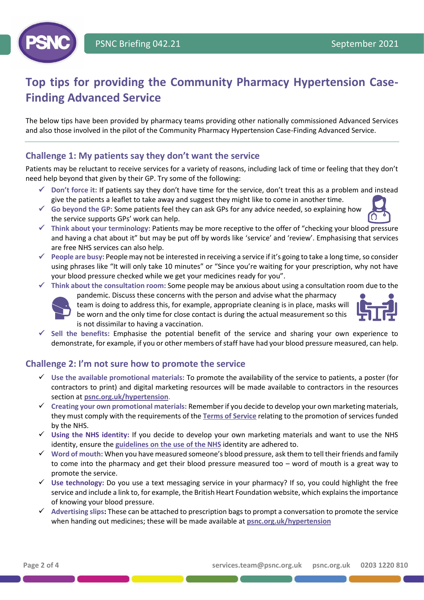

# **Top tips for providing the Community Pharmacy Hypertension Case-Finding Advanced Service**

The below tips have been provided by pharmacy teams providing other nationally commissioned Advanced Services and also those involved in the pilot of the Community Pharmacy Hypertension Case-Finding Advanced Service.

# **Challenge 1: My patients say they don't want the service**

Patients may be reluctant to receive services for a variety of reasons, including lack of time or feeling that they don't need help beyond that given by their GP. Try some of the following:

- ✓ **Don't force it:** If patients say they don't have time for the service, don't treat this as a problem and instead give the patients a leaflet to take away and suggest they might like to come in another time.
- ✓ **Go beyond the GP:** Some patients feel they can ask GPs for any advice needed, so explaining how the service supports GPs' work can help.
- ✓ **Think about your terminology:** Patients may be more receptive to the offer of "checking your blood pressure and having a chat about it" but may be put off by words like 'service' and 'review'. Emphasising that services are free NHS services can also help.
- ✓ **People are busy:** People may not be interested in receiving a service if it's going to take a long time, so consider using phrases like "It will only take 10 minutes" or "Since you're waiting for your prescription, why not have your blood pressure checked while we get your medicines ready for you".
- ✓ **Think about the consultation room:** Some people may be anxious about using a consultation room due to the



pandemic. Discuss these concerns with the person and advise what the pharmacy team is doing to address this, for example, appropriate cleaning is in place, masks will be worn and the only time for close contact is during the actual measurement so this is not dissimilar to having a vaccination.



✓ **Sell the benefits:** Emphasise the potential benefit of the service and sharing your own experience to demonstrate, for example, if you or other members of staff have had your blood pressure measured, can help.

## **Challenge 2: I'm not sure how to promote the service**

- ✓ **Use the available promotional materials:** To promote the availability of the service to patients, a poster (for contractors to print) and digital marketing resources will be made available to contractors in the resources section at **[psnc.org.uk/hypertension](https://psnc.org.uk/services-commissioning/advanced-services/hypertension-case-finding-service/)**.
- ✓ **Creating your own promotional materials:** Rememberif you decide to develop your own marketing materials, they must comply with the requirements of the **[Terms of Service](https://www.legislation.gov.uk/uksi/2013/349/schedule/4/made)** relating to the promotion of services funded by the NHS.
- ✓ **Using the NHS identity:** If you decide to develop your own marketing materials and want to use the NHS identity, ensure the **[guidelines on the use of the NHS](https://psnc.org.uk/contract-it/pharmacy-regulation/nhs-logo-use-by-pharmacies/)** identity are adhered to.
- ✓ **Word of mouth:** When you have measured someone's blood pressure, ask them to tell their friends and family to come into the pharmacy and get their blood pressure measured too – word of mouth is a great way to promote the service.
- ✓ **Use technology:** Do you use a text messaging service in your pharmacy? If so, you could highlight the free service and include a link to, for example, the British Heart Foundation website, which explains the importance of knowing your blood pressure.
- ✓ **Advertising slips:** These can be attached to prescription bags to prompt a conversation to promote the service when handing out medicines; these will be made available at **[psnc.org.uk/hypertension](https://psnc.org.uk/services-commissioning/advanced-services/hypertension-case-finding-service/)**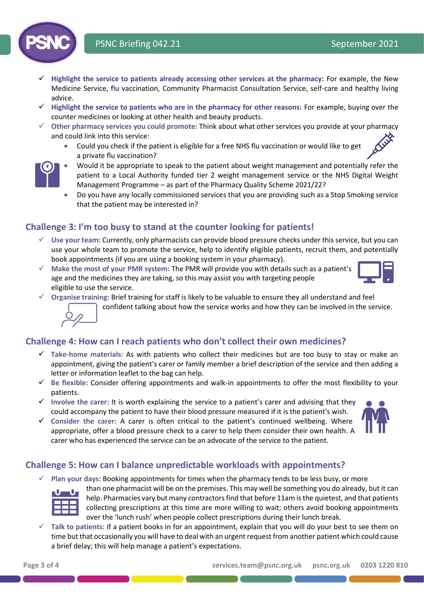# PSNC Briefing 042.21 September 2021

- ✓ **Highlight the service to patients already accessing other services at the pharmacy:** For example, the New Medicine Service, flu vaccination, Community Pharmacist Consultation Service, self-care and healthy living advice.
- ✓ **Highlight the service to patients who are in the pharmacy for other reasons:** For example, buying over the counter medicines or looking at other health and beauty products.
- ✓ **Other pharmacy services you could promote:** Think about what other services you provide at your pharmacy and could link into this service:
	- Could you check if the patient is eligible for a free NHS flu vaccination or would like to get a private flu vaccination?



- Would it be appropriate to speak to the patient about weight management and potentially refer the patient to a Local Authority funded tier 2 weight management service or the NHS Digital Weight Management Programme – as part of the Pharmacy Quality Scheme 2021/22?
- Do you have any locally commissioned services that you are providing such as a Stop Smoking service that the patient may be interested in?

# **Challenge 3: I'm too busy to stand at the counter looking for patients!**

- ✓ **Use your team:** Currently, only pharmacists can provide blood pressure checks under this service, but you can use your whole team to promote the service, help to identify eligible patients, recruit them, and potentially book appointments (if you are using a booking system in your pharmacy).
- ✓ **Make the most of your PMR system:** The PMR will provide you with details such as a patient's age and the medicines they are taking, so this may assist you with targeting people eligible to use the service.



- ✓ **Organise training:** Brief training for staff is likely to be valuable to ensure they all understand and feel
	- confident talking about how the service works and how they can be involved in the service.

## **Challenge 4: How can I reach patients who don't collect their own medicines?**

- ✓ **Take-home materials:** As with patients who collect their medicines but are too busy to stay or make an appointment, giving the patient's carer or family member a brief description of the service and then adding a letter or information leaflet to the bag can help.
- ✓ **Be flexible:** Consider offering appointments and walk-in appointments to offer the most flexibility to your patients.
- ✓ **Involve the carer:** It is worth explaining the service to a patient's carer and advising that they could accompany the patient to have their blood pressure measured if it is the patient's wish.
- ✓ **Consider the carer:** A carer is often critical to the patient's continued wellbeing. Where appropriate, offer a blood pressure check to a carer to help them consider their own health. A carer who has experienced the service can be an advocate of the service to the patient.



# **Challenge 5: How can I balance unpredictable workloads with appointments?**

✓ **Plan your days:** Booking appointments for times when the pharmacy tends to be less busy, or more



than one pharmacist will be on the premises. This may well be something you do already, but it can help. Pharmacies vary but many contractors find that before 11am is the quietest, and that patients collecting prescriptions at this time are more willing to wait; others avoid booking appointments over the 'lunch rush' when people collect prescriptions during their lunch break.

✓ **Talk to patients:** If a patient books in for an appointment, explain that you will do your best to see them on time but that occasionally you will have to deal with an urgent request from another patient which could cause a brief delay; this will help manage a patient's expectations.